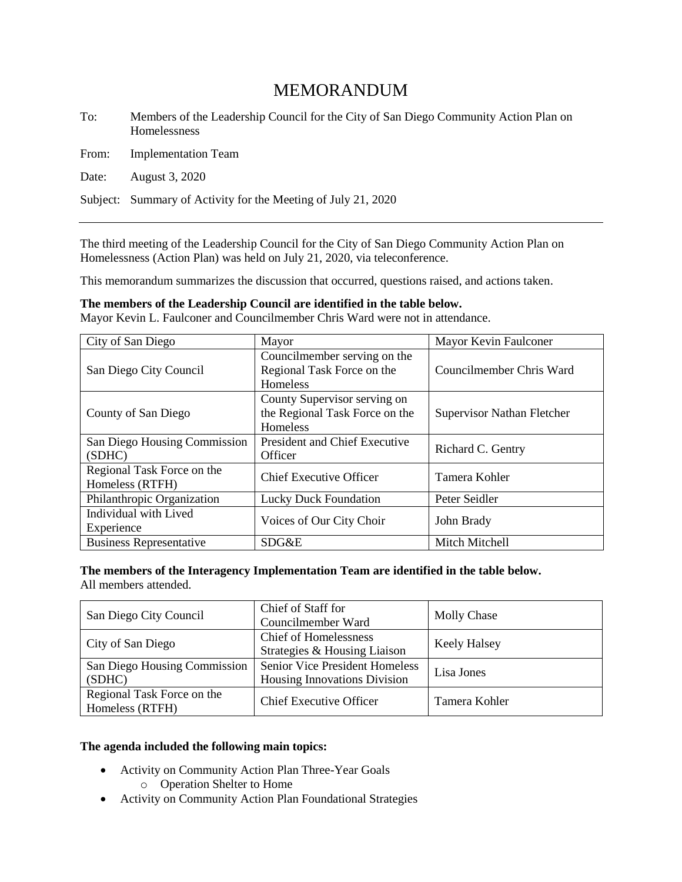# MEMORANDUM

To: Members of the Leadership Council for the City of San Diego Community Action Plan on Homelessness

From: Implementation Team

Date: August 3, 2020

Subject: Summary of Activity for the Meeting of July 21, 2020

The third meeting of the Leadership Council for the City of San Diego Community Action Plan on Homelessness (Action Plan) was held on July 21, 2020, via teleconference.

This memorandum summarizes the discussion that occurred, questions raised, and actions taken.

**The members of the Leadership Council are identified in the table below.**

Mayor Kevin L. Faulconer and Councilmember Chris Ward were not in attendance.

| City of San Diego                             | Mayor                                                                         | Mayor Kevin Faulconer             |
|-----------------------------------------------|-------------------------------------------------------------------------------|-----------------------------------|
| San Diego City Council                        | Councilmember serving on the<br>Regional Task Force on the<br><b>Homeless</b> | Councilmember Chris Ward          |
| County of San Diego                           | County Supervisor serving on<br>the Regional Task Force on the<br>Homeless    | <b>Supervisor Nathan Fletcher</b> |
| San Diego Housing Commission<br>(SDHC)        | President and Chief Executive<br>Officer                                      | Richard C. Gentry                 |
| Regional Task Force on the<br>Homeless (RTFH) | <b>Chief Executive Officer</b>                                                | Tamera Kohler                     |
| Philanthropic Organization                    | <b>Lucky Duck Foundation</b>                                                  | Peter Seidler                     |
| Individual with Lived<br>Experience           | Voices of Our City Choir                                                      | John Brady                        |
| <b>Business Representative</b>                | SDG&E                                                                         | Mitch Mitchell                    |

**The members of the Interagency Implementation Team are identified in the table below.**  All members attended.

| San Diego City Council                        | Chief of Staff for<br>Councilmember Ward                              | <b>Molly Chase</b>  |
|-----------------------------------------------|-----------------------------------------------------------------------|---------------------|
| City of San Diego                             | <b>Chief of Homelessness</b><br>Strategies & Housing Liaison          | <b>Keely Halsey</b> |
| San Diego Housing Commission<br>(SDHC)        | <b>Senior Vice President Homeless</b><br>Housing Innovations Division | Lisa Jones          |
| Regional Task Force on the<br>Homeless (RTFH) | <b>Chief Executive Officer</b>                                        | Tamera Kohler       |

#### **The agenda included the following main topics:**

- Activity on Community Action Plan Three-Year Goals o Operation Shelter to Home
- Activity on Community Action Plan Foundational Strategies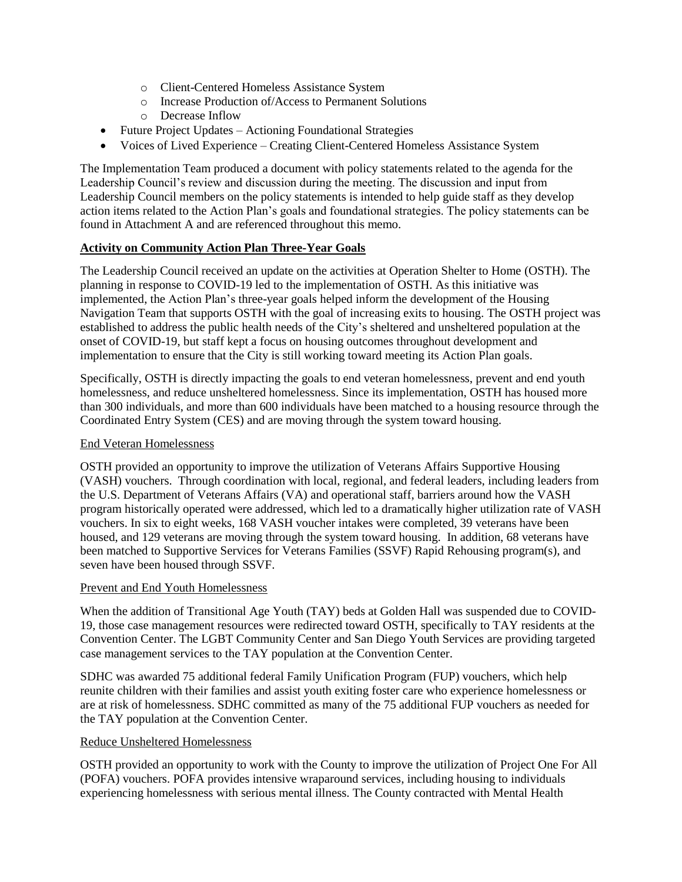- o Client-Centered Homeless Assistance System
- o Increase Production of/Access to Permanent Solutions
- o Decrease Inflow
- Future Project Updates Actioning Foundational Strategies
- Voices of Lived Experience Creating Client-Centered Homeless Assistance System

The Implementation Team produced a document with policy statements related to the agenda for the Leadership Council's review and discussion during the meeting. The discussion and input from Leadership Council members on the policy statements is intended to help guide staff as they develop action items related to the Action Plan's goals and foundational strategies. The policy statements can be found in Attachment A and are referenced throughout this memo.

#### **Activity on Community Action Plan Three-Year Goals**

The Leadership Council received an update on the activities at Operation Shelter to Home (OSTH). The planning in response to COVID-19 led to the implementation of OSTH. As this initiative was implemented, the Action Plan's three-year goals helped inform the development of the Housing Navigation Team that supports OSTH with the goal of increasing exits to housing. The OSTH project was established to address the public health needs of the City's sheltered and unsheltered population at the onset of COVID-19, but staff kept a focus on housing outcomes throughout development and implementation to ensure that the City is still working toward meeting its Action Plan goals.

Specifically, OSTH is directly impacting the goals to end veteran homelessness, prevent and end youth homelessness, and reduce unsheltered homelessness. Since its implementation, OSTH has housed more than 300 individuals, and more than 600 individuals have been matched to a housing resource through the Coordinated Entry System (CES) and are moving through the system toward housing.

#### End Veteran Homelessness

OSTH provided an opportunity to improve the utilization of Veterans Affairs Supportive Housing (VASH) vouchers. Through coordination with local, regional, and federal leaders, including leaders from the U.S. Department of Veterans Affairs (VA) and operational staff, barriers around how the VASH program historically operated were addressed, which led to a dramatically higher utilization rate of VASH vouchers. In six to eight weeks, 168 VASH voucher intakes were completed, 39 veterans have been housed, and 129 veterans are moving through the system toward housing. In addition, 68 veterans have been matched to Supportive Services for Veterans Families (SSVF) Rapid Rehousing program(s), and seven have been housed through SSVF.

#### Prevent and End Youth Homelessness

When the addition of Transitional Age Youth (TAY) beds at Golden Hall was suspended due to COVID-19, those case management resources were redirected toward OSTH, specifically to TAY residents at the Convention Center. The LGBT Community Center and San Diego Youth Services are providing targeted case management services to the TAY population at the Convention Center.

SDHC was awarded 75 additional federal Family Unification Program (FUP) vouchers, which help reunite children with their families and assist youth exiting foster care who experience homelessness or are at risk of homelessness. SDHC committed as many of the 75 additional FUP vouchers as needed for the TAY population at the Convention Center.

#### Reduce Unsheltered Homelessness

OSTH provided an opportunity to work with the County to improve the utilization of Project One For All (POFA) vouchers. POFA provides intensive wraparound services, including housing to individuals experiencing homelessness with serious mental illness. The County contracted with Mental Health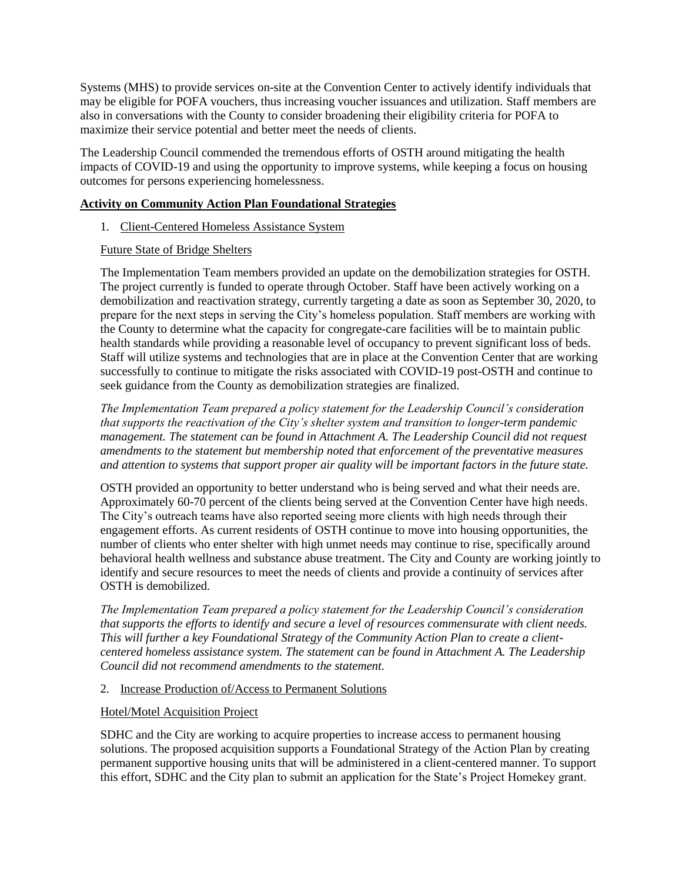Systems (MHS) to provide services on-site at the Convention Center to actively identify individuals that may be eligible for POFA vouchers, thus increasing voucher issuances and utilization. Staff members are also in conversations with the County to consider broadening their eligibility criteria for POFA to maximize their service potential and better meet the needs of clients.

The Leadership Council commended the tremendous efforts of OSTH around mitigating the health impacts of COVID-19 and using the opportunity to improve systems, while keeping a focus on housing outcomes for persons experiencing homelessness.

#### **Activity on Community Action Plan Foundational Strategies**

1. Client-Centered Homeless Assistance System

#### Future State of Bridge Shelters

The Implementation Team members provided an update on the demobilization strategies for OSTH. The project currently is funded to operate through October. Staff have been actively working on a demobilization and reactivation strategy, currently targeting a date as soon as September 30, 2020, to prepare for the next steps in serving the City's homeless population. Staff members are working with the County to determine what the capacity for congregate-care facilities will be to maintain public health standards while providing a reasonable level of occupancy to prevent significant loss of beds. Staff will utilize systems and technologies that are in place at the Convention Center that are working successfully to continue to mitigate the risks associated with COVID-19 post-OSTH and continue to seek guidance from the County as demobilization strategies are finalized.

*The Implementation Team prepared a policy statement for the Leadership Council's consideration that supports the reactivation of the City's shelter system and transition to longer-term pandemic management. The statement can be found in Attachment A. The Leadership Council did not request amendments to the statement but membership noted that enforcement of the preventative measures and attention to systems that support proper air quality will be important factors in the future state.*

OSTH provided an opportunity to better understand who is being served and what their needs are. Approximately 60-70 percent of the clients being served at the Convention Center have high needs. The City's outreach teams have also reported seeing more clients with high needs through their engagement efforts. As current residents of OSTH continue to move into housing opportunities, the number of clients who enter shelter with high unmet needs may continue to rise, specifically around behavioral health wellness and substance abuse treatment. The City and County are working jointly to identify and secure resources to meet the needs of clients and provide a continuity of services after OSTH is demobilized.

*The Implementation Team prepared a policy statement for the Leadership Council's consideration that supports the efforts to identify and secure a level of resources commensurate with client needs. This will further a key Foundational Strategy of the Community Action Plan to create a clientcentered homeless assistance system. The statement can be found in Attachment A. The Leadership Council did not recommend amendments to the statement.*

#### 2. Increase Production of/Access to Permanent Solutions

#### Hotel/Motel Acquisition Project

SDHC and the City are working to acquire properties to increase access to permanent housing solutions. The proposed acquisition supports a Foundational Strategy of the Action Plan by creating permanent supportive housing units that will be administered in a client-centered manner. To support this effort, SDHC and the City plan to submit an application for the State's Project Homekey grant.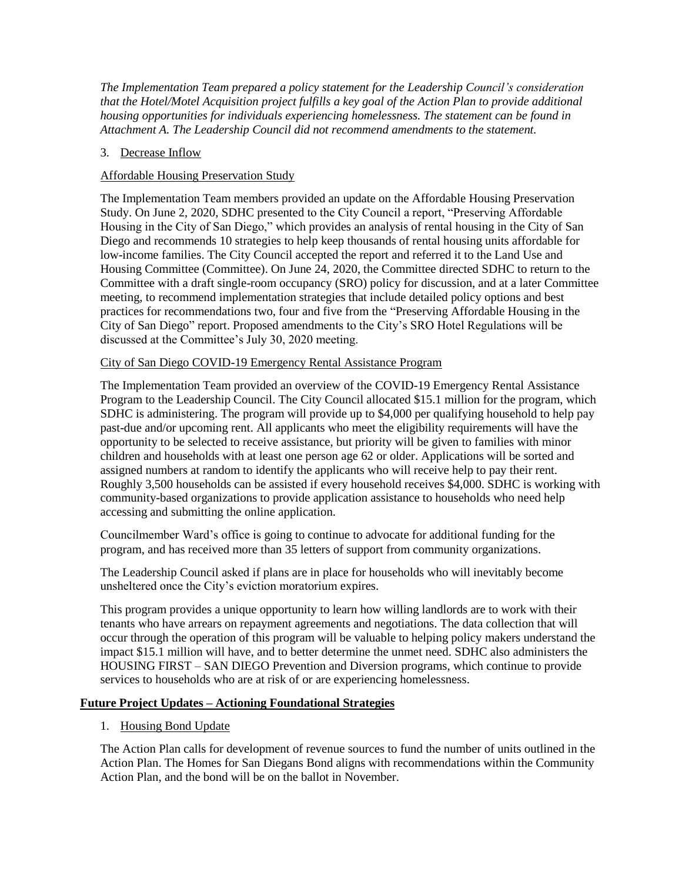*The Implementation Team prepared a policy statement for the Leadership Council's consideration that the Hotel/Motel Acquisition project fulfills a key goal of the Action Plan to provide additional housing opportunities for individuals experiencing homelessness. The statement can be found in Attachment A. The Leadership Council did not recommend amendments to the statement.*

## 3. Decrease Inflow

## Affordable Housing Preservation Study

The Implementation Team members provided an update on the Affordable Housing Preservation Study. On June 2, 2020, SDHC presented to the City Council a report, "Preserving Affordable Housing in the City of San Diego," which provides an analysis of rental housing in the City of San Diego and recommends 10 strategies to help keep thousands of rental housing units affordable for low-income families. The City Council accepted the report and referred it to the Land Use and Housing Committee (Committee). On June 24, 2020, the Committee directed SDHC to return to the Committee with a draft single-room occupancy (SRO) policy for discussion, and at a later Committee meeting, to recommend implementation strategies that include detailed policy options and best practices for recommendations two, four and five from the "Preserving Affordable Housing in the City of San Diego" report. Proposed amendments to the City's SRO Hotel Regulations will be discussed at the Committee's July 30, 2020 meeting.

#### City of San Diego COVID-19 Emergency Rental Assistance Program

The Implementation Team provided an overview of the COVID-19 Emergency Rental Assistance Program to the Leadership Council. The City Council allocated \$15.1 million for the program, which SDHC is administering. The program will provide up to \$4,000 per qualifying household to help pay past-due and/or upcoming rent. All applicants who meet the eligibility requirements will have the opportunity to be selected to receive assistance, but priority will be given to families with minor children and households with at least one person age 62 or older. Applications will be sorted and assigned numbers at random to identify the applicants who will receive help to pay their rent. Roughly 3,500 households can be assisted if every household receives \$4,000. SDHC is working with community-based organizations to provide application assistance to households who need help accessing and submitting the online application.

Councilmember Ward's office is going to continue to advocate for additional funding for the program, and has received more than 35 letters of support from community organizations.

The Leadership Council asked if plans are in place for households who will inevitably become unsheltered once the City's eviction moratorium expires.

This program provides a unique opportunity to learn how willing landlords are to work with their tenants who have arrears on repayment agreements and negotiations. The data collection that will occur through the operation of this program will be valuable to helping policy makers understand the impact \$15.1 million will have, and to better determine the unmet need. SDHC also administers the HOUSING FIRST – SAN DIEGO Prevention and Diversion programs, which continue to provide services to households who are at risk of or are experiencing homelessness.

#### **Future Project Updates – Actioning Foundational Strategies**

1. Housing Bond Update

The Action Plan calls for development of revenue sources to fund the number of units outlined in the Action Plan. The Homes for San Diegans Bond aligns with recommendations within the Community Action Plan, and the bond will be on the ballot in November.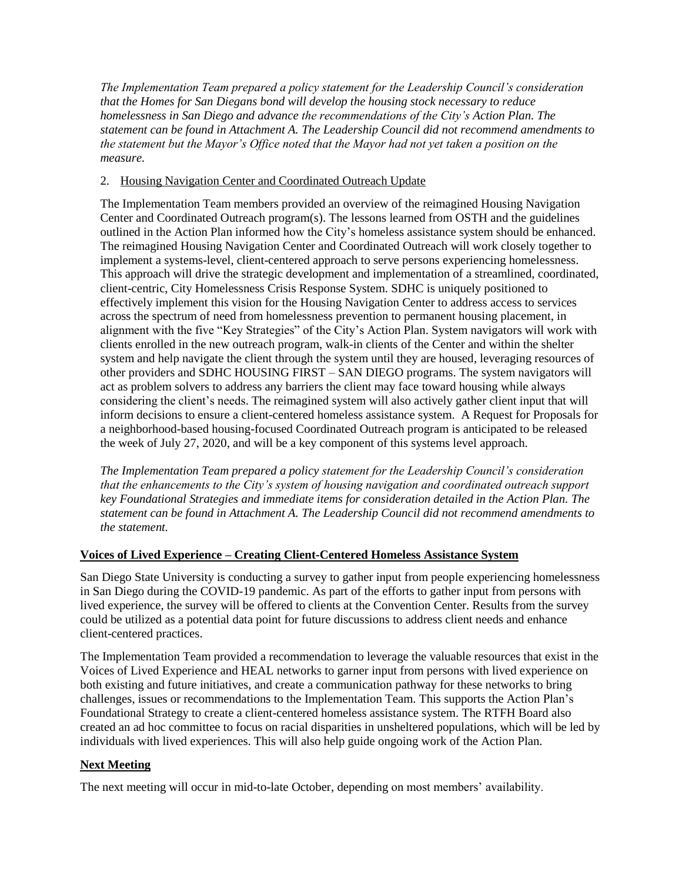*The Implementation Team prepared a policy statement for the Leadership Council's consideration that the Homes for San Diegans bond will develop the housing stock necessary to reduce homelessness in San Diego and advance the recommendations of the City's Action Plan. The statement can be found in Attachment A. The Leadership Council did not recommend amendments to the statement but the Mayor's Office noted that the Mayor had not yet taken a position on the measure.*

## 2. Housing Navigation Center and Coordinated Outreach Update

The Implementation Team members provided an overview of the reimagined Housing Navigation Center and Coordinated Outreach program(s). The lessons learned from OSTH and the guidelines outlined in the Action Plan informed how the City's homeless assistance system should be enhanced. The reimagined Housing Navigation Center and Coordinated Outreach will work closely together to implement a systems-level, client-centered approach to serve persons experiencing homelessness. This approach will drive the strategic development and implementation of a streamlined, coordinated, client-centric, City Homelessness Crisis Response System. SDHC is uniquely positioned to effectively implement this vision for the Housing Navigation Center to address access to services across the spectrum of need from homelessness prevention to permanent housing placement, in alignment with the five "Key Strategies" of the City's Action Plan. System navigators will work with clients enrolled in the new outreach program, walk-in clients of the Center and within the shelter system and help navigate the client through the system until they are housed, leveraging resources of other providers and SDHC HOUSING FIRST – SAN DIEGO programs. The system navigators will act as problem solvers to address any barriers the client may face toward housing while always considering the client's needs. The reimagined system will also actively gather client input that will inform decisions to ensure a client-centered homeless assistance system. A Request for Proposals for a neighborhood-based housing-focused Coordinated Outreach program is anticipated to be released the week of July 27, 2020, and will be a key component of this systems level approach.

*The Implementation Team prepared a policy statement for the Leadership Council's consideration that the enhancements to the City's system of housing navigation and coordinated outreach support key Foundational Strategies and immediate items for consideration detailed in the Action Plan. The statement can be found in Attachment A. The Leadership Council did not recommend amendments to the statement.*

#### **Voices of Lived Experience – Creating Client-Centered Homeless Assistance System**

San Diego State University is conducting a survey to gather input from people experiencing homelessness in San Diego during the COVID-19 pandemic. As part of the efforts to gather input from persons with lived experience, the survey will be offered to clients at the Convention Center. Results from the survey could be utilized as a potential data point for future discussions to address client needs and enhance client-centered practices.

The Implementation Team provided a recommendation to leverage the valuable resources that exist in the Voices of Lived Experience and HEAL networks to garner input from persons with lived experience on both existing and future initiatives, and create a communication pathway for these networks to bring challenges, issues or recommendations to the Implementation Team. This supports the Action Plan's Foundational Strategy to create a client-centered homeless assistance system. The RTFH Board also created an ad hoc committee to focus on racial disparities in unsheltered populations, which will be led by individuals with lived experiences. This will also help guide ongoing work of the Action Plan.

#### **Next Meeting**

The next meeting will occur in mid-to-late October, depending on most members' availability.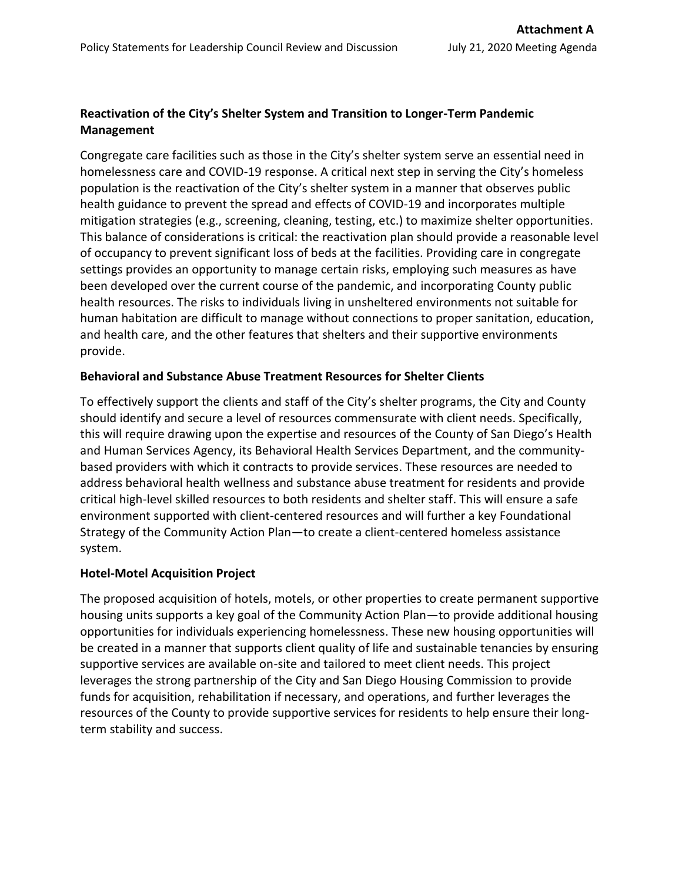# **Reactivation of the City's Shelter System and Transition to Longer-Term Pandemic Management**

Congregate care facilities such as those in the City's shelter system serve an essential need in homelessness care and COVID-19 response. A critical next step in serving the City's homeless population is the reactivation of the City's shelter system in a manner that observes public health guidance to prevent the spread and effects of COVID-19 and incorporates multiple mitigation strategies (e.g., screening, cleaning, testing, etc.) to maximize shelter opportunities. This balance of considerations is critical: the reactivation plan should provide a reasonable level of occupancy to prevent significant loss of beds at the facilities. Providing care in congregate settings provides an opportunity to manage certain risks, employing such measures as have been developed over the current course of the pandemic, and incorporating County public health resources. The risks to individuals living in unsheltered environments not suitable for human habitation are difficult to manage without connections to proper sanitation, education, and health care, and the other features that shelters and their supportive environments provide.

## **Behavioral and Substance Abuse Treatment Resources for Shelter Clients**

To effectively support the clients and staff of the City's shelter programs, the City and County should identify and secure a level of resources commensurate with client needs. Specifically, this will require drawing upon the expertise and resources of the County of San Diego's Health and Human Services Agency, its Behavioral Health Services Department, and the communitybased providers with which it contracts to provide services. These resources are needed to address behavioral health wellness and substance abuse treatment for residents and provide critical high-level skilled resources to both residents and shelter staff. This will ensure a safe environment supported with client-centered resources and will further a key Foundational Strategy of the Community Action Plan—to create a client-centered homeless assistance system.

## **Hotel-Motel Acquisition Project**

The proposed acquisition of hotels, motels, or other properties to create permanent supportive housing units supports a key goal of the Community Action Plan—to provide additional housing opportunities for individuals experiencing homelessness. These new housing opportunities will be created in a manner that supports client quality of life and sustainable tenancies by ensuring supportive services are available on-site and tailored to meet client needs. This project leverages the strong partnership of the City and San Diego Housing Commission to provide funds for acquisition, rehabilitation if necessary, and operations, and further leverages the resources of the County to provide supportive services for residents to help ensure their longterm stability and success.